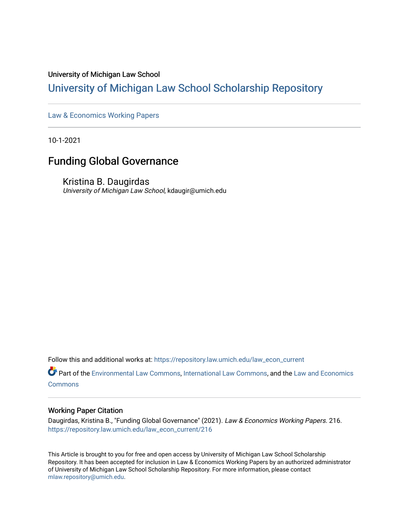# University of Michigan Law School

# [University of Michigan Law School Scholarship Repository](https://repository.law.umich.edu/)

[Law & Economics Working Papers](https://repository.law.umich.edu/law_econ_current)

10-1-2021

# Funding Global Governance

Kristina B. Daugirdas University of Michigan Law School, kdaugir@umich.edu

Follow this and additional works at: [https://repository.law.umich.edu/law\\_econ\\_current](https://repository.law.umich.edu/law_econ_current?utm_source=repository.law.umich.edu%2Flaw_econ_current%2F216&utm_medium=PDF&utm_campaign=PDFCoverPages) 

Part of the [Environmental Law Commons](http://network.bepress.com/hgg/discipline/599?utm_source=repository.law.umich.edu%2Flaw_econ_current%2F216&utm_medium=PDF&utm_campaign=PDFCoverPages), [International Law Commons](http://network.bepress.com/hgg/discipline/609?utm_source=repository.law.umich.edu%2Flaw_econ_current%2F216&utm_medium=PDF&utm_campaign=PDFCoverPages), and the [Law and Economics](http://network.bepress.com/hgg/discipline/612?utm_source=repository.law.umich.edu%2Flaw_econ_current%2F216&utm_medium=PDF&utm_campaign=PDFCoverPages) [Commons](http://network.bepress.com/hgg/discipline/612?utm_source=repository.law.umich.edu%2Flaw_econ_current%2F216&utm_medium=PDF&utm_campaign=PDFCoverPages)

## Working Paper Citation

Daugirdas, Kristina B., "Funding Global Governance" (2021). Law & Economics Working Papers. 216. [https://repository.law.umich.edu/law\\_econ\\_current/216](https://repository.law.umich.edu/law_econ_current/216?utm_source=repository.law.umich.edu%2Flaw_econ_current%2F216&utm_medium=PDF&utm_campaign=PDFCoverPages) 

This Article is brought to you for free and open access by University of Michigan Law School Scholarship Repository. It has been accepted for inclusion in Law & Economics Working Papers by an authorized administrator of University of Michigan Law School Scholarship Repository. For more information, please contact [mlaw.repository@umich.edu.](mailto:mlaw.repository@umich.edu)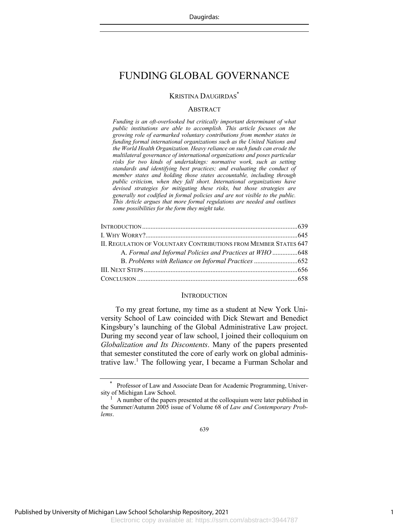## KRISTINA DAUGIRDAS\*

### **ABSTRACT**

*Funding is an oft-overlooked but critically important determinant of what public institutions are able to accomplish. This article focuses on the growing role of earmarked voluntary contributions from member states in funding formal international organizations such as the United Nations and the World Health Organization. Heavy reliance on such funds can erode the multilateral governance of international organizations and poses particular risks for two kinds of undertakings: normative work, such as setting standards and identifying best practices; and evaluating the conduct of member states and holding those states accountable, including through public criticism, when they fall short. International organizations have devised strategies for mitigating these risks, but those strategies are generally not codified in formal policies and are not visible to the public. This Article argues that more formal regulations are needed and outlines some possibilities for the form they might take.*

| <b>II. REGULATION OF VOLUNTARY CONTRIBUTIONS FROM MEMBER STATES 647</b> |  |
|-------------------------------------------------------------------------|--|
| A. Formal and Informal Policies and Practices at WHO  648               |  |
|                                                                         |  |
|                                                                         |  |
|                                                                         |  |
|                                                                         |  |

#### **INTRODUCTION**

To my great fortune, my time as a student at New York University School of Law coincided with Dick Stewart and Benedict Kingsbury's launching of the Global Administrative Law project. During my second year of law school, I joined their colloquium on *Globalization and Its Discontents*. Many of the papers presented that semester constituted the core of early work on global administrative law.<sup>1</sup> The following year, I became a Furman Scholar and

Professor of Law and Associate Dean for Academic Programming, University of Michigan Law School.

<sup>1</sup> A number of the papers presented at the colloquium were later published in the Summer/Autumn 2005 issue of Volume 68 of *Law and Contemporary Problems*.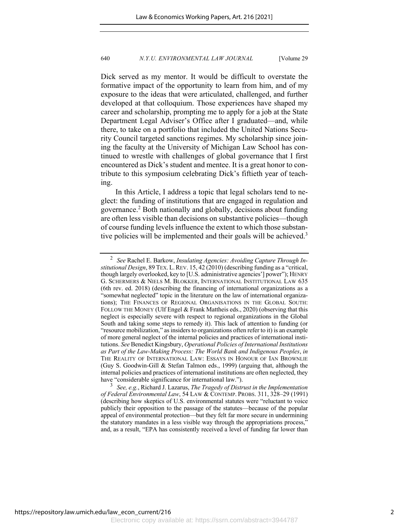Dick served as my mentor. It would be difficult to overstate the formative impact of the opportunity to learn from him, and of my exposure to the ideas that were articulated, challenged, and further developed at that colloquium. Those experiences have shaped my career and scholarship, prompting me to apply for a job at the State Department Legal Adviser's Office after I graduated—and, while there, to take on a portfolio that included the United Nations Security Council targeted sanctions regimes. My scholarship since joining the faculty at the University of Michigan Law School has continued to wrestle with challenges of global governance that I first encountered as Dick's student and mentee. It is a great honor to contribute to this symposium celebrating Dick's fiftieth year of teaching.

In this Article, I address a topic that legal scholars tend to neglect: the funding of institutions that are engaged in regulation and governance.<sup>2</sup> Both nationally and globally, decisions about funding are often less visible than decisions on substantive policies—though of course funding levels influence the extent to which those substantive policies will be implemented and their goals will be achieved.<sup>3</sup>

<sup>2</sup> *See* Rachel E. Barkow, *Insulating Agencies: Avoiding Capture Through Institutional Design*, 89 TEX.L.REV. 15, 42 (2010) (describing funding as a "critical, though largely overlooked, key to [U.S. administrative agencies'] power"); HENRY G. SCHERMERS & NIELS M. BLOKKER, INTERNATIONAL INSTITUTIONAL LAW 635 (6th rev. ed. 2018) (describing the financing of international organizations as a "somewhat neglected" topic in the literature on the law of international organizations); THE FINANCES OF REGIONAL ORGANISATIONS IN THE GLOBAL SOUTH: FOLLOW THE MONEY (Ulf Engel & Frank Mattheis eds., 2020) (observing that this neglect is especially severe with respect to regional organizations in the Global South and taking some steps to remedy it). This lack of attention to funding (or "resource mobilization," as insiders to organizations often refer to it) is an example of more general neglect of the internal policies and practices of international institutions. *See* Benedict Kingsbury, *Operational Policies of International Institutions as Part of the Law-Making Process: The World Bank and Indigenous Peoples*, *in* THE REALITY OF INTERNATIONAL LAW: ESSAYS IN HONOUR OF IAN BROWNLIE (Guy S. Goodwin-Gill & Stefan Talmon eds., 1999) (arguing that, although the internal policies and practices of international institutions are often neglected, they have "considerable significance for international law.").

<sup>3</sup> *See, e.g.*, Richard J. Lazarus, *The Tragedy of Distrust in the Implementation of Federal Environmental Law*, 54 LAW & CONTEMP. PROBS. 311, 328–29 (1991) (describing how skeptics of U.S. environmental statutes were "reluctant to voice publicly their opposition to the passage of the statutes—because of the popular appeal of environmental protection—but they felt far more secure in undermining the statutory mandates in a less visible way through the appropriations process,' and, as a result, "EPA has consistently received a level of funding far lower than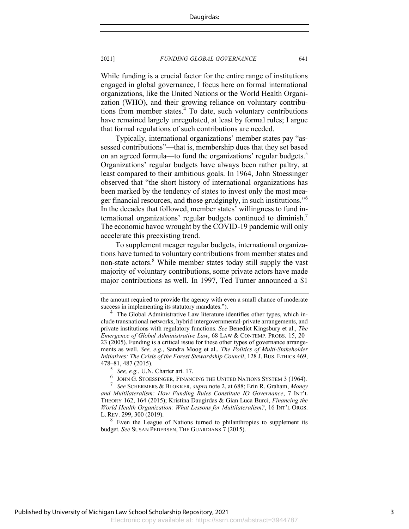While funding is a crucial factor for the entire range of institutions engaged in global governance, I focus here on formal international organizations, like the United Nations or the World Health Organization (WHO), and their growing reliance on voluntary contributions from member states.4 To date, such voluntary contributions have remained largely unregulated, at least by formal rules; I argue that formal regulations of such contributions are needed.

Typically, international organizations' member states pay "assessed contributions"—that is, membership dues that they set based on an agreed formula—to fund the organizations' regular budgets.<sup>5</sup> Organizations' regular budgets have always been rather paltry, at least compared to their ambitious goals. In 1964, John Stoessinger observed that "the short history of international organizations has been marked by the tendency of states to invest only the most meager financial resources, and those grudgingly, in such institutions."<sup>6</sup> In the decades that followed, member states' willingness to fund international organizations' regular budgets continued to diminish.7 The economic havoc wrought by the COVID-19 pandemic will only accelerate this preexisting trend.

To supplement meager regular budgets, international organizations have turned to voluntary contributions from member states and non-state actors.<sup>8</sup> While member states today still supply the vast majority of voluntary contributions, some private actors have made major contributions as well. In 1997, Ted Turner announced a \$1

<sup>8</sup> Even the League of Nations turned to philanthropies to supplement its budget. *See* SUSAN PEDERSEN, THE GUARDIANS 7 (2015).

the amount required to provide the agency with even a small chance of moderate success in implementing its statutory mandates.").

<sup>&</sup>lt;sup>4</sup> The Global Administrative Law literature identifies other types, which include transnational networks, hybrid intergovernmental-private arrangements, and private institutions with regulatory functions. *See* Benedict Kingsbury et al., *The Emergence of Global Administrative Law*, 68 LAW & CONTEMP. PROBS. 15, 20– 23 (2005). Funding is a critical issue for these other types of governance arrangements as well. *See, e.g.*, Sandra Moog et al., *The Politics of Multi-Stakeholder Initiatives: The Crisis of the Forest Stewardship Council*, 128 J. BUS. ETHICS 469, 478–81, 487 (2015).

 $5$  *See, e.g.*, U.N. Charter art. 17.

<sup>&</sup>lt;sup>6</sup> JOHN G. STOESSINGER, FINANCING THE UNITED NATIONS SYSTEM 3 (1964).<br><sup>7</sup> See SCHEDMERS & BLOKKER, supra pote 2, at 688: Frip B. Graham *Mongs* 

<sup>7</sup> *See* SCHERMERS & BLOKKER, *supra* note 2, at 688; Erin R. Graham, *Money and Multilateralism: How Funding Rules Constitute IO Governance*, 7 INT'L THEORY 162, 164 (2015); Kristina Daugirdas & Gian Luca Burci, *Financing the World Health Organization: What Lessons for Multilateralism?*, 16 INT'L ORGS. L. REV. 299, 300 (2019).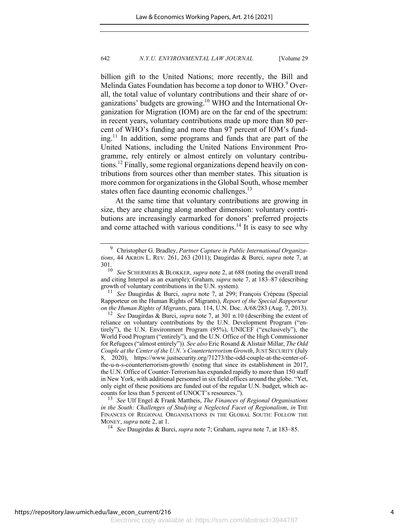billion gift to the United Nations; more recently, the Bill and Melinda Gates Foundation has become a top donor to WHO.<sup>9</sup> Overall, the total value of voluntary contributions and their share of organizations' budgets are growing.<sup>10</sup> WHO and the International Organization for Migration (IOM) are on the far end of the spectrum: in recent years, voluntary contributions made up more than 80 percent of WHO's funding and more than 97 percent of IOM's fund $ing<sup>11</sup>$  In addition, some programs and funds that are part of the United Nations, including the United Nations Environment Programme, rely entirely or almost entirely on voluntary contributions.12 Finally, some regional organizations depend heavily on contributions from sources other than member states. This situation is more common for organizations in the Global South, whose member states often face daunting economic challenges. $^{13}$ 

At the same time that voluntary contributions are growing in size, they are changing along another dimension: voluntary contributions are increasingly earmarked for donors' preferred projects and come attached with various conditions.<sup>14</sup> It is easy to see why

<sup>9</sup> Christopher G. Bradley, *Partner Capture in Public International Organizations*, 44 AKRON L. REV. 261, 263 (2011); Daugirdas & Burci, *supra* note 7, at  $301.$ <sub>10</sub>

See SCHERMERS & BLOKKER, *supra* note 2, at 688 (noting the overall trend and citing Interpol as an example); Graham, *supra* note 7, at 183–87 (describing growth of voluntary contributions in the U.N. system).

<sup>11</sup> *See* Daugirdas & Burci, *supra* note 7, at 299; François Crépeau (Special Rapporteur on the Human Rights of Migrants), *Report of the Special Rapporteur on the Human Rights of Migrants*, para. 114, U.N. Doc. A/68/283 (Aug. 7, 2013).

<sup>12</sup> *See* Daugirdas & Burci, *supra* note 7, at 301 n.10 (describing the extent of reliance on voluntary contributions by the U.N. Development Program ("entirely"), the U.N. Environment Program (95%), UNICEF ("exclusively"), the World Food Program ("entirely"), and the U.N. Office of the High Commissioner for Refugees ("almost entirely")). *See also* Eric Rosand & Alistair Millar, *The Odd Couple at the Center of the U.N.'s Counterterrorism Growth*, JUST SECURITY (July 8, 2020), https://www.justsecurity.org/71273/the-odd-couple-at-the-center-ofthe-u-n-s-counterterrorism-growth/ (noting that since its establishment in 2017, the U.N. Office of Counter-Terrorism has expanded rapidly to more than 150 staff in New York, with additional personnel in six field offices around the globe. "Yet, only eight of these positions are funded out of the regular U.N. budget, which accounts for less than 5 percent of UNOCT's resources.").

<sup>13</sup> *See* Ulf Engel & Frank Mattheis, *The Finances of Regional Organisations in the South: Challenges of Studying a Neglected Facet of Regionalism*, *in* THE FINANCES OF REGIONAL ORGANISATIONS IN THE GLOBAL SOUTH: FOLLOW THE MONEY, *supra* note 2, at 1.

<sup>14</sup> *See* Daugirdas & Burci, *supra* note 7; Graham, *supra* note 7, at 183–85.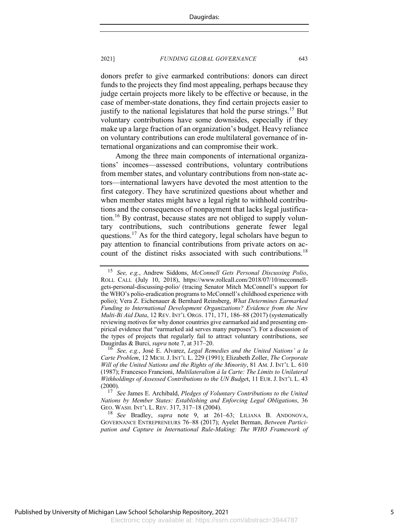donors prefer to give earmarked contributions: donors can direct funds to the projects they find most appealing, perhaps because they judge certain projects more likely to be effective or because, in the case of member-state donations, they find certain projects easier to justify to the national legislatures that hold the purse strings.<sup>15</sup> But voluntary contributions have some downsides, especially if they make up a large fraction of an organization's budget. Heavy reliance on voluntary contributions can erode multilateral governance of international organizations and can compromise their work.

Among the three main components of international organizations' incomes—assessed contributions, voluntary contributions from member states, and voluntary contributions from non-state actors—international lawyers have devoted the most attention to the first category. They have scrutinized questions about whether and when member states might have a legal right to withhold contributions and the consequences of nonpayment that lacks legal justification.<sup>16</sup> By contrast, because states are not obliged to supply voluntary contributions, such contributions generate fewer legal questions.<sup>17</sup> As for the third category, legal scholars have begun to pay attention to financial contributions from private actors on account of the distinct risks associated with such contributions.<sup>18</sup>

<sup>15</sup> *See, e.g.*, Andrew Siddons, *McConnell Gets Personal Discussing Polio*, ROLL CALL (July 10, 2018), https://www.rollcall.com/2018/07/10/mcconnellgets-personal-discussing-polio/ (tracing Senator Mitch McConnell's support for the WHO's polio-eradication programs to McConnell's childhood experience with polio); Vera Z. Eichenauer & Bernhard Reinsberg, *What Determines Earmarked Funding to International Development Organizations? Evidence from the New Multi-Bi Aid Data*, 12 REV. INT'L ORGS. 171, 171, 186–88 (2017) (systematically reviewing motives for why donor countries give earmarked aid and presenting empirical evidence that "earmarked aid serves many purposes"). For a discussion of the types of projects that regularly fail to attract voluntary contributions, see Daugirdas & Burci, *supra* note 7, at 317–20.

<sup>16</sup> *See, e.g.*, José E. Alvarez, *Legal Remedies and the United Nations' a la Carte Problem*, 12 MICH.J. INT'L L. 229 (1991); Elizabeth Zoller, *The Corporate Will of the United Nations and the Rights of the Minority*, 81 AM. J. INT'L L. 610 (1987); Francesco Francioni, *Multilateralism à la Carte: The Limits to Unilateral Withholdings of Assessed Contributions to the UN Budge*t, 11 EUR. J. INT'L L. 43 (2000).

<sup>17</sup> *See* James E. Archibald, *Pledges of Voluntary Contributions to the United Nations by Member States: Establishing and Enforcing Legal Obligations*, 36 GEO. WASH. INT'L L. REV. 317, 317–18 (2004).

<sup>18</sup> *See* Bradley, *supra* note 9, at 261–63; LILIANA B. ANDONOVA, GOVERNANCE ENTREPRENEURS 76–88 (2017); Ayelet Berman, *Between Participation and Capture in International Rule-Making: The WHO Framework of*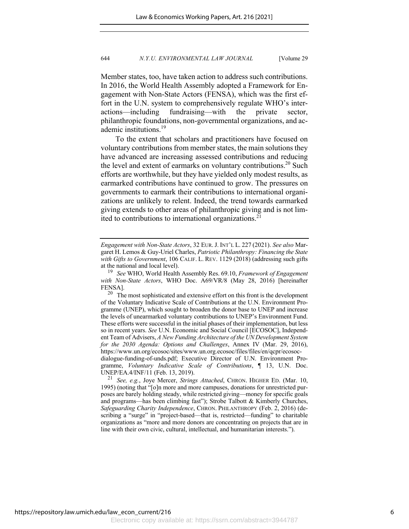Member states, too, have taken action to address such contributions. In 2016, the World Health Assembly adopted a Framework for Engagement with Non-State Actors (FENSA), which was the first effort in the U.N. system to comprehensively regulate WHO's interactions—including fundraising—with the private sector, philanthropic foundations, non-governmental organizations, and academic institutions.19

To the extent that scholars and practitioners have focused on voluntary contributions from member states, the main solutions they have advanced are increasing assessed contributions and reducing the level and extent of earmarks on voluntary contributions.<sup>20</sup> Such efforts are worthwhile, but they have yielded only modest results, as earmarked contributions have continued to grow. The pressures on governments to earmark their contributions to international organizations are unlikely to relent. Indeed, the trend towards earmarked giving extends to other areas of philanthropic giving and is not limited to contributions to international organizations.<sup>21</sup>

*Engagement with Non-State Actors*, 32 EUR.J. INT'L L. 227 (2021). *See also* Margaret H. Lemos & Guy-Uriel Charles, *Patriotic Philanthropy: Financing the State with Gifts to Government*, 106 CALIF. L. REV. 1129 (2018) (addressing such gifts at the national and local level).

<sup>19</sup> *See* WHO, World Health Assembly Res. 69.10, *Framework of Engagement with Non-State Actors*, WHO Doc. A69/VR/8 (May 28, 2016) [hereinafter FENSA].<br> $^{20}$  Th

The most sophisticated and extensive effort on this front is the development of the Voluntary Indicative Scale of Contributions at the U.N. Environment Programme (UNEP), which sought to broaden the donor base to UNEP and increase the levels of unearmarked voluntary contributions to UNEP's Environment Fund. These efforts were successful in the initial phases of their implementation, but less so in recent years. *See* U.N. Economic and Social Council [ECOSOC], Independent Team of Advisers, *A New Funding Architecture of the UN Development System for the 2030 Agenda: Options and Challenges*, Annex IV (Mar. 29, 2016), https://www.un.org/ecosoc/sites/www.un.org.ecosoc/files/files/en/qcpr/ecosocdialogue-funding-of-unds.pdf; Executive Director of U.N. Environment Programme, *Voluntary Indicative Scale of Contributions*, ¶ 13, U.N. Doc. UNEP/EA.4/INF/11 (Feb. 13, 2019).

<sup>21</sup> *See, e.g.*, Joye Mercer, *Strings Attached*, CHRON. HIGHER ED. (Mar. 10, 1995) (noting that "[o]n more and more campuses, donations for unrestricted purposes are barely holding steady, while restricted giving—money for specific goals and programs—has been climbing fast"); Strobe Talbott & Kimberly Churches, *Safeguarding Charity Independence*, CHRON. PHILANTHROPY (Feb. 2, 2016) (describing a "surge" in "project-based—that is, restricted—funding" to charitable organizations as "more and more donors are concentrating on projects that are in line with their own civic, cultural, intellectual, and humanitarian interests.").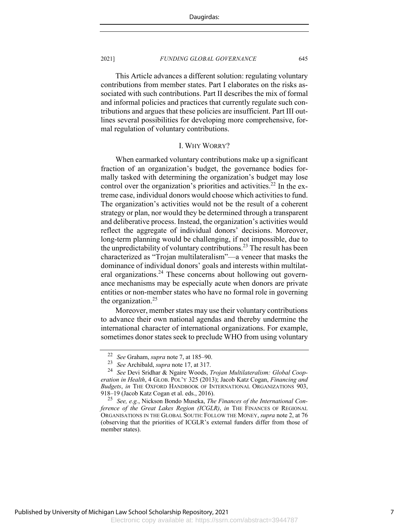This Article advances a different solution: regulating voluntary contributions from member states. Part I elaborates on the risks associated with such contributions. Part II describes the mix of formal and informal policies and practices that currently regulate such contributions and argues that these policies are insufficient. Part III outlines several possibilities for developing more comprehensive, formal regulation of voluntary contributions.

#### I. WHY WORRY?

When earmarked voluntary contributions make up a significant fraction of an organization's budget, the governance bodies formally tasked with determining the organization's budget may lose control over the organization's priorities and activities.<sup>22</sup> In the extreme case, individual donors would choose which activities to fund. The organization's activities would not be the result of a coherent strategy or plan, nor would they be determined through a transparent and deliberative process. Instead, the organization's activities would reflect the aggregate of individual donors' decisions. Moreover, long-term planning would be challenging, if not impossible, due to the unpredictability of voluntary contributions.<sup>23</sup> The result has been characterized as "Trojan multilateralism"—a veneer that masks the dominance of individual donors' goals and interests within multilateral organizations.<sup>24</sup> These concerns about hollowing out governance mechanisms may be especially acute when donors are private entities or non-member states who have no formal role in governing the organization. $25$ 

Moreover, member states may use their voluntary contributions to advance their own national agendas and thereby undermine the international character of international organizations. For example, sometimes donor states seek to preclude WHO from using voluntary

<sup>&</sup>lt;sup>22</sup> *See* Graham, *supra* note 7, at 185–90.<br><sup>23</sup> See Archibald, supra note 17, at 317.

<sup>&</sup>lt;sup>23</sup> *See* Archibald, *supra* note 17, at 317.<br><sup>24</sup> *See* Devi Sridhar & Noaire Woods <sup>1</sup>

<sup>24</sup> *See* Devi Sridhar & Ngaire Woods, *Trojan Multilateralism: Global Cooperation in Health*, 4 GLOB. POL'Y 325 (2013); Jacob Katz Cogan, *Financing and Budgets*, *in* THE OXFORD HANDBOOK OF INTERNATIONAL ORGANIZATIONS 903, 918–19 (Jacob Katz Cogan et al. eds., 2016).

<sup>25</sup> *See, e.g.*, Nickson Bondo Museka, *The Finances of the International Conference of the Great Lakes Region (ICGLR)*, *in* THE FINANCES OF REGIONAL ORGANISATIONS IN THE GLOBAL SOUTH: FOLLOW THE MONEY, *supra* note 2, at 76 (observing that the priorities of ICGLR's external funders differ from those of member states).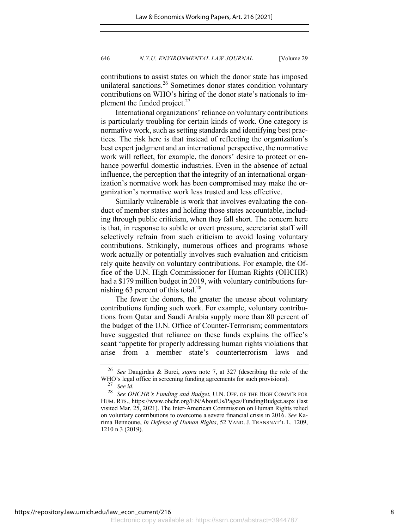contributions to assist states on which the donor state has imposed unilateral sanctions.<sup>26</sup> Sometimes donor states condition voluntary contributions on WHO's hiring of the donor state's nationals to implement the funded project. $27$ 

International organizations' reliance on voluntary contributions is particularly troubling for certain kinds of work. One category is normative work, such as setting standards and identifying best practices. The risk here is that instead of reflecting the organization's best expert judgment and an international perspective, the normative work will reflect, for example, the donors' desire to protect or enhance powerful domestic industries. Even in the absence of actual influence, the perception that the integrity of an international organization's normative work has been compromised may make the organization's normative work less trusted and less effective.

Similarly vulnerable is work that involves evaluating the conduct of member states and holding those states accountable, including through public criticism, when they fall short. The concern here is that, in response to subtle or overt pressure, secretariat staff will selectively refrain from such criticism to avoid losing voluntary contributions. Strikingly, numerous offices and programs whose work actually or potentially involves such evaluation and criticism rely quite heavily on voluntary contributions. For example, the Office of the U.N. High Commissioner for Human Rights (OHCHR) had a \$179 million budget in 2019, with voluntary contributions furnishing 63 percent of this total. $^{28}$ 

The fewer the donors, the greater the unease about voluntary contributions funding such work. For example, voluntary contributions from Qatar and Saudi Arabia supply more than 80 percent of the budget of the U.N. Office of Counter-Terrorism; commentators have suggested that reliance on these funds explains the office's scant "appetite for properly addressing human rights violations that arise from a member state's counterterrorism laws and

<sup>26</sup> *See* Daugirdas & Burci, *supra* note 7, at 327 (describing the role of the WHO's legal office in screening funding agreements for such provisions).<br> $^{27}$  See id

See id.

<sup>28</sup> *See OHCHR's Funding and Budget*, U.N. OFF. OF THE HIGH COMM'R FOR HUM. RTS., https://www.ohchr.org/EN/AboutUs/Pages/FundingBudget.aspx (last visited Mar. 25, 2021). The Inter-American Commission on Human Rights relied on voluntary contributions to overcome a severe financial crisis in 2016. *See* Karima Bennoune, *In Defense of Human Rights*, 52 VAND. J. TRANSNAT'L L. 1209, 1210 n.3 (2019).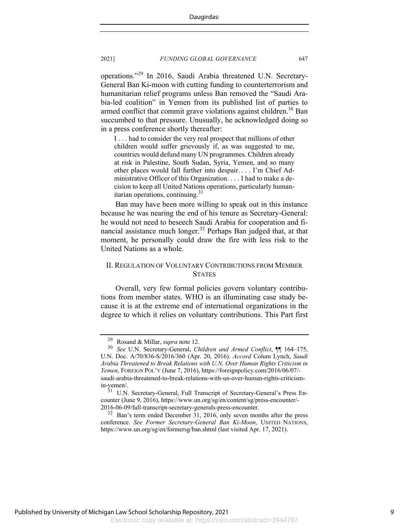operations."<sup>29</sup> In 2016, Saudi Arabia threatened U.N. Secretary-General Ban Ki-moon with cutting funding to counterterrorism and humanitarian relief programs unless Ban removed the "Saudi Arabia-led coalition" in Yemen from its published list of parties to armed conflict that commit grave violations against children.<sup>30</sup> Ban succumbed to that pressure. Unusually, he acknowledged doing so in a press conference shortly thereafter:

I . . . had to consider the very real prospect that millions of other children would suffer grievously if, as was suggested to me, countries would defund many UN programmes. Children already at risk in Palestine, South Sudan, Syria, Yemen, and so many other places would fall further into despair. . . . I'm Chief Administrative Officer of this Organization. . . . I had to make a decision to keep all United Nations operations, particularly humanitarian operations, continuing.<sup>31</sup>

Ban may have been more willing to speak out in this instance because he was nearing the end of his tenure as Secretary-General: he would not need to beseech Saudi Arabia for cooperation and financial assistance much longer.<sup>32</sup> Perhaps Ban judged that, at that moment, he personally could draw the fire with less risk to the United Nations as a whole.

# II. REGULATION OF VOLUNTARY CONTRIBUTIONS FROM MEMBER **STATES**

Overall, very few formal policies govern voluntary contributions from member states. WHO is an illuminating case study because it is at the extreme end of international organizations in the degree to which it relies on voluntary contributions. This Part first

<sup>29</sup> Rosand & Millar, *supra* note 12. <sup>30</sup> *See* U.N. Secretary-General, *Children and Armed Conflict*, ¶¶ 164–175, U.N. Doc. A/70/836-S/2016/360 (Apr. 20, 2016). *Accord* Colum Lynch, *Saudi Arabia Threatened to Break Relations with U.N. Over Human Rights Criticism in Yemen*, FOREIGN POL'Y (June 7, 2016), https://foreignpolicy.com/2016/06/07/ saudi-arabia-threatened-to-break-relations-with-un-over-human-rights-criticismin-yemen/.

U.N. Secretary-General, Full Transcript of Secretary-General's Press Encounter (June 9, 2016), https://www.un.org/sg/en/content/sg/press-encounter/- 2016-06-09/full-transcript-secretary-generals-press-encounter.

<sup>&</sup>lt;sup>32</sup> Ban's term ended December 31, 2016, only seven months after the press conference. *See Former Secretary-General Ban Ki-Moon*, UNITED NATIONS, https://www.un.org/sg/en/formersg/ban.shtml (last visited Apr. 17, 2021).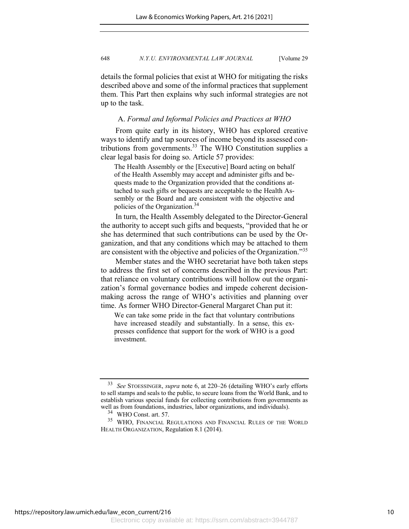details the formal policies that exist at WHO for mitigating the risks described above and some of the informal practices that supplement them. This Part then explains why such informal strategies are not up to the task.

## A. *Formal and Informal Policies and Practices at WHO*

From quite early in its history, WHO has explored creative ways to identify and tap sources of income beyond its assessed contributions from governments. $33$  The WHO Constitution supplies a clear legal basis for doing so. Article 57 provides:

The Health Assembly or the [Executive] Board acting on behalf of the Health Assembly may accept and administer gifts and bequests made to the Organization provided that the conditions attached to such gifts or bequests are acceptable to the Health Assembly or the Board and are consistent with the objective and policies of the Organization.<sup>34</sup>

In turn, the Health Assembly delegated to the Director-General the authority to accept such gifts and bequests, "provided that he or she has determined that such contributions can be used by the Organization, and that any conditions which may be attached to them are consistent with the objective and policies of the Organization."<sup>35</sup>

Member states and the WHO secretariat have both taken steps to address the first set of concerns described in the previous Part: that reliance on voluntary contributions will hollow out the organization's formal governance bodies and impede coherent decisionmaking across the range of WHO's activities and planning over time. As former WHO Director-General Margaret Chan put it:

We can take some pride in the fact that voluntary contributions have increased steadily and substantially. In a sense, this expresses confidence that support for the work of WHO is a good investment.

<sup>33</sup> *See* STOESSINGER, *supra* note 6, at 220–26 (detailing WHO's early efforts to sell stamps and seals to the public, to secure loans from the World Bank, and to establish various special funds for collecting contributions from governments as well as from foundations, industries, labor organizations, and individuals).

<sup>34</sup> WHO Const. art. 57.

<sup>35</sup> WHO, FINANCIAL REGULATIONS AND FINANCIAL RULES OF THE WORLD HEALTH ORGANIZATION, Regulation 8.1 (2014).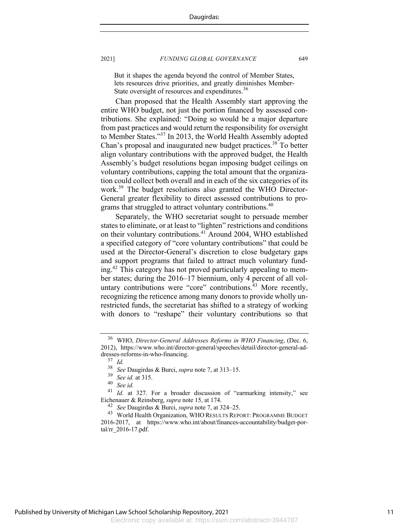But it shapes the agenda beyond the control of Member States, lets resources drive priorities, and greatly diminishes Member-State oversight of resources and expenditures.<sup>36</sup>

Chan proposed that the Health Assembly start approving the entire WHO budget, not just the portion financed by assessed contributions. She explained: "Doing so would be a major departure from past practices and would return the responsibility for oversight to Member States."37 In 2013, the World Health Assembly adopted Chan's proposal and inaugurated new budget practices.<sup>38</sup> To better align voluntary contributions with the approved budget, the Health Assembly's budget resolutions began imposing budget ceilings on voluntary contributions, capping the total amount that the organization could collect both overall and in each of the six categories of its work.<sup>39</sup> The budget resolutions also granted the WHO Director-General greater flexibility to direct assessed contributions to programs that struggled to attract voluntary contributions.<sup>40</sup>

Separately, the WHO secretariat sought to persuade member states to eliminate, or at least to "lighten" restrictions and conditions on their voluntary contributions.41 Around 2004, WHO established a specified category of "core voluntary contributions" that could be used at the Director-General's discretion to close budgetary gaps and support programs that failed to attract much voluntary funding.<sup>42</sup> This category has not proved particularly appealing to member states; during the 2016–17 biennium, only 4 percent of all voluntary contributions were "core" contributions.<sup>43</sup> More recently, recognizing the reticence among many donors to provide wholly unrestricted funds, the secretariat has shifted to a strategy of working with donors to "reshape" their voluntary contributions so that

<sup>36</sup> WHO, *Director-General Addresses Reforms in WHO Financing*, (Dec. 6, 2012), https://www.who.int/director-general/speeches/detail/director-general-addresses-reforms-in-who-financing.

 $rac{37}{38}$  *Id.* 

<sup>38</sup> *See* Daugirdas & Burci, *supra* note 7, at 313–15.

<sup>39</sup> *See id.* at 315.

<sup>40</sup> *See id.*

<sup>&</sup>lt;sup>41</sup> *Id.* at 327. For a broader discussion of "earmarking intensity," see Eichenauer & Reinsberg, *supra* note 15, at 174.

<sup>42</sup> *See* Daugirdas & Burci, *supra* note 7, at 324–25.

<sup>43</sup> World Health Organization, WHO RESULTS REPORT: PROGRAMME BUDGET 2016-2017, at https://www.who.int/about/finances-accountability/budget-portal/rr\_2016-17.pdf.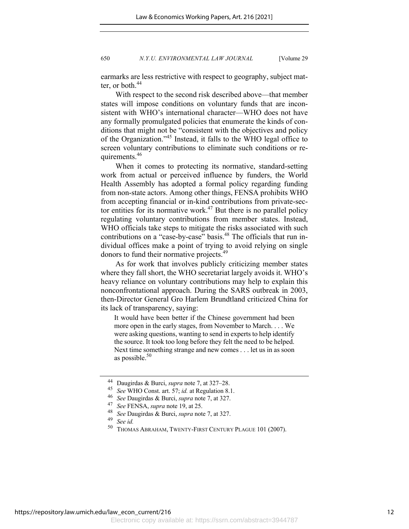earmarks are less restrictive with respect to geography, subject matter, or both.<sup>44</sup>

With respect to the second risk described above—that member states will impose conditions on voluntary funds that are inconsistent with WHO's international character—WHO does not have any formally promulgated policies that enumerate the kinds of conditions that might not be "consistent with the objectives and policy of the Organization."<sup>45</sup> Instead, it falls to the WHO legal office to screen voluntary contributions to eliminate such conditions or requirements.<sup>46</sup>

When it comes to protecting its normative, standard-setting work from actual or perceived influence by funders, the World Health Assembly has adopted a formal policy regarding funding from non-state actors. Among other things, FENSA prohibits WHO from accepting financial or in-kind contributions from private-sector entities for its normative work.<sup>47</sup> But there is no parallel policy regulating voluntary contributions from member states. Instead, WHO officials take steps to mitigate the risks associated with such contributions on a "case-by-case" basis.<sup>48</sup> The officials that run individual offices make a point of trying to avoid relying on single donors to fund their normative projects.<sup>49</sup>

As for work that involves publicly criticizing member states where they fall short, the WHO secretariat largely avoids it. WHO's heavy reliance on voluntary contributions may help to explain this nonconfrontational approach. During the SARS outbreak in 2003, then-Director General Gro Harlem Brundtland criticized China for its lack of transparency, saying:

It would have been better if the Chinese government had been more open in the early stages, from November to March. . . . We were asking questions, wanting to send in experts to help identify the source. It took too long before they felt the need to be helped. Next time something strange and new comes . . . let us in as soon as possible. $50$ 

<sup>44</sup> Daugirdas & Burci, *supra* note 7, at 327–28.

<sup>45</sup> *See* WHO Const. art. 57; *id.* at Regulation 8.1.

<sup>46</sup> *See* Daugirdas & Burci, *supra* note 7, at 327.

<sup>47</sup> *See* FENSA, *supra* note 19, at 25.

<sup>48</sup> *See* Daugirdas & Burci, *supra* note 7, at 327.

 $\frac{49}{50}$  *See id.* 

THOMAS ABRAHAM, TWENTY-FIRST CENTURY PLAGUE 101 (2007).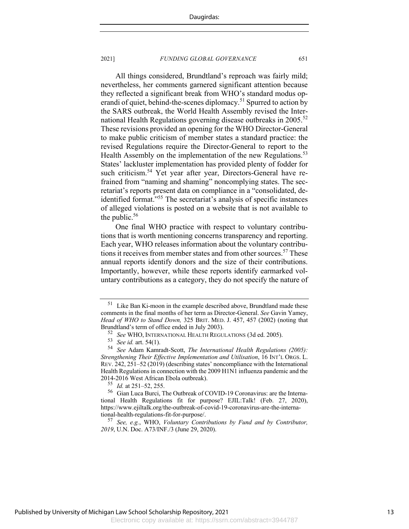All things considered, Brundtland's reproach was fairly mild; nevertheless, her comments garnered significant attention because they reflected a significant break from WHO's standard modus operandi of quiet, behind-the-scenes diplomacy.<sup>51</sup> Spurred to action by the SARS outbreak, the World Health Assembly revised the International Health Regulations governing disease outbreaks in 2005.<sup>52</sup> These revisions provided an opening for the WHO Director-General to make public criticism of member states a standard practice: the revised Regulations require the Director-General to report to the Health Assembly on the implementation of the new Regulations.<sup>53</sup> States' lackluster implementation has provided plenty of fodder for such criticism.<sup>54</sup> Yet year after year, Directors-General have refrained from "naming and shaming" noncomplying states. The secretariat's reports present data on compliance in a "consolidated, deidentified format."55 The secretariat's analysis of specific instances of alleged violations is posted on a website that is not available to the public. $56$ 

One final WHO practice with respect to voluntary contributions that is worth mentioning concerns transparency and reporting. Each year, WHO releases information about the voluntary contributions it receives from member states and from other sources.<sup>57</sup> These annual reports identify donors and the size of their contributions. Importantly, however, while these reports identify earmarked voluntary contributions as a category, they do not specify the nature of

<sup>&</sup>lt;sup>51</sup> Like Ban Ki-moon in the example described above, Brundtland made these comments in the final months of her term as Director-General. *See* Gavin Yamey, *Head of WHO to Stand Down,* 325 BRIT. MED. J. 457, 457 (2002) (noting that Brundtland's term of office ended in July 2003).

<sup>52</sup> *See* WHO, INTERNATIONAL HEALTH REGULATIONS (3d ed. 2005).<br>53 *See id.* art. 54(1)

<sup>53</sup> *See id.* art. 54(1).

<sup>54</sup> *See* Adam Kamradt-Scott, *The International Health Regulations (2005): Strengthening Their Effective Implementation and Utilisation*, 16 INT'L ORGS. L. REV. 242, 251–52 (2019) (describing states' noncompliance with the International Health Regulations in connection with the 2009 H1N1 influenza pandemic and the  $2014-2016$  West African Ebola outbreak).<br> $\frac{55}{64}$  *M* at 251, 52, 255

<sup>&</sup>lt;sup>55</sup> *Id.* at 251–52, 255.<br><sup>56</sup> Gian Luca Burci T

<sup>56</sup> Gian Luca Burci, The Outbreak of COVID-19 Coronavirus: are the International Health Regulations fit for purpose? EJIL:Talk! (Feb. 27, 2020), https://www.ejiltalk.org/the-outbreak-of-covid-19-coronavirus-are-the-international-health-regulations-fit-for-purpose/.

<sup>57</sup> *See, e.g.*, WHO, *Voluntary Contributions by Fund and by Contributor, 2019*, U.N. Doc. A73/INF./3 (June 29, 2020).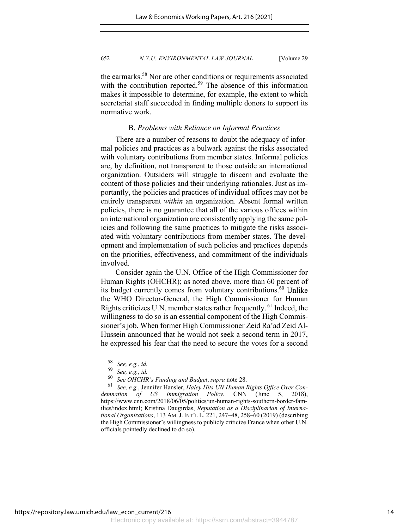the earmarks.<sup>58</sup> Nor are other conditions or requirements associated with the contribution reported.<sup>59</sup> The absence of this information makes it impossible to determine, for example, the extent to which secretariat staff succeeded in finding multiple donors to support its normative work.

## B. *Problems with Reliance on Informal Practices*

There are a number of reasons to doubt the adequacy of informal policies and practices as a bulwark against the risks associated with voluntary contributions from member states. Informal policies are, by definition, not transparent to those outside an international organization. Outsiders will struggle to discern and evaluate the content of those policies and their underlying rationales. Just as importantly, the policies and practices of individual offices may not be entirely transparent *within* an organization. Absent formal written policies, there is no guarantee that all of the various offices within an international organization are consistently applying the same policies and following the same practices to mitigate the risks associated with voluntary contributions from member states. The development and implementation of such policies and practices depends on the priorities, effectiveness, and commitment of the individuals involved.

Consider again the U.N. Office of the High Commissioner for Human Rights (OHCHR); as noted above, more than 60 percent of its budget currently comes from voluntary contributions.<sup>60</sup> Unlike the WHO Director-General, the High Commissioner for Human Rights criticizes U.N. member states rather frequently. <sup>61</sup> Indeed, the willingness to do so is an essential component of the High Commissioner's job. When former High Commissioner Zeid Ra'ad Zeid Al-Hussein announced that he would not seek a second term in 2017, he expressed his fear that the need to secure the votes for a second

<sup>58</sup> *See, e.g.*, *id.*

<sup>59</sup> *See, e.g.*, *id.*

<sup>&</sup>lt;sup>60</sup> See OHCHR's Funding and Budget, *supra* note 28.<br><sup>61</sup> See, e.g., Jennifer Hansler, *Haley Hits UN Human Rights Office Over Condemnation of US Immigration Policy*, CNN (June 5, 2018), https://www.cnn.com/2018/06/05/politics/un-human-rights-southern-border-families/index.html; Kristina Daugirdas, *Reputation as a Disciplinarian of International Organizations*, 113 AM.J. INT'L L. 221, 247–48, 258–60 (2019) (describing the High Commissioner's willingness to publicly criticize France when other U.N. officials pointedly declined to do so).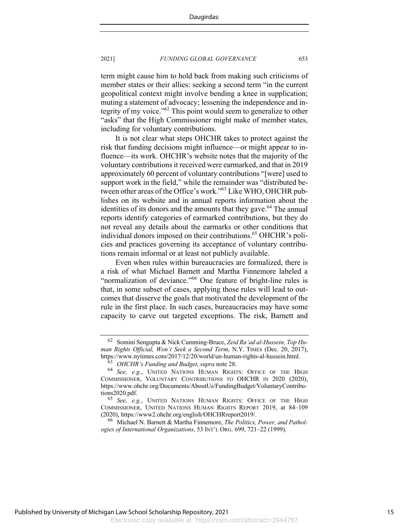term might cause him to hold back from making such criticisms of member states or their allies: seeking a second term "in the current geopolitical context might involve bending a knee in supplication; muting a statement of advocacy; lessening the independence and integrity of my voice."62 This point would seem to generalize to other "asks" that the High Commissioner might make of member states, including for voluntary contributions.

It is not clear what steps OHCHR takes to protect against the risk that funding decisions might influence—or might appear to influence—its work. OHCHR's website notes that the majority of the voluntary contributions it received were earmarked, and that in 2019 approximately 60 percent of voluntary contributions "[were] used to support work in the field," while the remainder was "distributed between other areas of the Office's work."<sup>63</sup> Like WHO, OHCHR publishes on its website and in annual reports information about the identities of its donors and the amounts that they gave.<sup>64</sup> The annual reports identify categories of earmarked contributions, but they do not reveal any details about the earmarks or other conditions that individual donors imposed on their contributions.<sup>65</sup> OHCHR's policies and practices governing its acceptance of voluntary contributions remain informal or at least not publicly available.

Even when rules within bureaucracies are formalized, there is a risk of what Michael Barnett and Martha Finnemore labeled a "normalization of deviance."<sup>66</sup> One feature of bright-line rules is that, in some subset of cases, applying those rules will lead to outcomes that disserve the goals that motivated the development of the rule in the first place. In such cases, bureaucracies may have some capacity to carve out targeted exceptions. The risk, Barnett and

<sup>62</sup> Somini Sengupta & Nick Cumming-Bruce, *Zeid Ra'ad al-Hussein, Top Human Rights Official, Won't Seek a Second Term*, N.Y. TIMES (Dec. 20, 2017), https://www.nytimes.com/2017/12/20/world/un-human-rights-al-hussein.html.

<sup>63</sup> *OHCHR's Funding and Budget*, *supra* note 28. <sup>64</sup> *See, e.g.*, UNITED NATIONS HUMAN RIGHTS: OFFICE OF THE HIGH COMMISSIONER, VOLUNTARY CONTRIBUTIONS TO OHCHR IN 2020 (2020), https://www.ohchr.org/Documents/AboutUs/FundingBudget/VoluntaryContributions2020.pdf. <sup>65</sup> *See, e.g.*, UNITED NATIONS HUMAN RIGHTS: OFFICE OF THE HIGH

COMMISSIONER, UNITED NATIONS HUMAN RIGHTS REPORT 2019, at 84–109 (2020), https://www2.ohchr.org/english/OHCHRreport2019/.

<sup>66</sup> Michael N. Barnett & Martha Finnemore, *The Politics, Power, and Pathologies of International Organizations*, 53 INT'L ORG. 699, 721–22 (1999).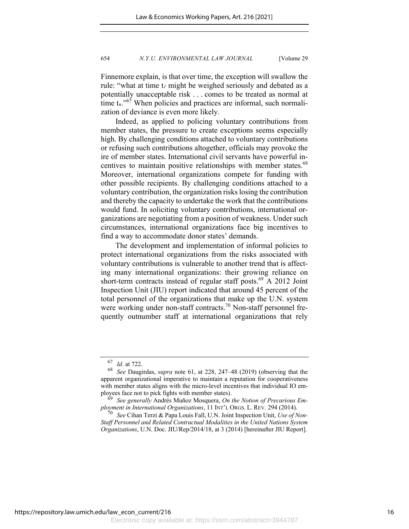Finnemore explain, is that over time, the exception will swallow the rule: "what at time t*<sup>1</sup>* might be weighed seriously and debated as a potentially unacceptable risk . . . comes to be treated as normal at time  $t_n$ <sup>. of</sup> When policies and practices are informal, such normalization of deviance is even more likely.

Indeed, as applied to policing voluntary contributions from member states, the pressure to create exceptions seems especially high. By challenging conditions attached to voluntary contributions or refusing such contributions altogether, officials may provoke the ire of member states. International civil servants have powerful incentives to maintain positive relationships with member states.<sup>68</sup> Moreover, international organizations compete for funding with other possible recipients. By challenging conditions attached to a voluntary contribution, the organization risks losing the contribution and thereby the capacity to undertake the work that the contributions would fund. In soliciting voluntary contributions, international organizations are negotiating from a position of weakness. Under such circumstances, international organizations face big incentives to find a way to accommodate donor states' demands.

The development and implementation of informal policies to protect international organizations from the risks associated with voluntary contributions is vulnerable to another trend that is affecting many international organizations: their growing reliance on short-term contracts instead of regular staff posts.<sup>69</sup> A 2012 Joint Inspection Unit (JIU) report indicated that around 45 percent of the total personnel of the organizations that make up the U.N. system were working under non-staff contracts.<sup>70</sup> Non-staff personnel frequently outnumber staff at international organizations that rely

 $\frac{67}{68}$  *Id.* at 722.

<sup>68</sup> *See* Daugirdas, *supra* note 61, at 228, 247–48 (2019) (observing that the apparent organizational imperative to maintain a reputation for cooperativeness with member states aligns with the micro-level incentives that individual IO employees face not to pick fights with member states).

<sup>69</sup> *See generally* Andrés Muñoz Mosquera, *On the Notion of Precarious Employment in International Organizations*, 11 INT'L ORGS. L. REV. 294 (2014).

<sup>70</sup> *See* Cihan Terzi & Papa Louis Fall, U.N. Joint Inspection Unit, *Use of Non-Staff Personnel and Related Contractual Modalities in the United Nations System Organizations*, U.N. Doc. JIU/Rep/2014/18, at 3 (2014) [hereinafter JIU Report].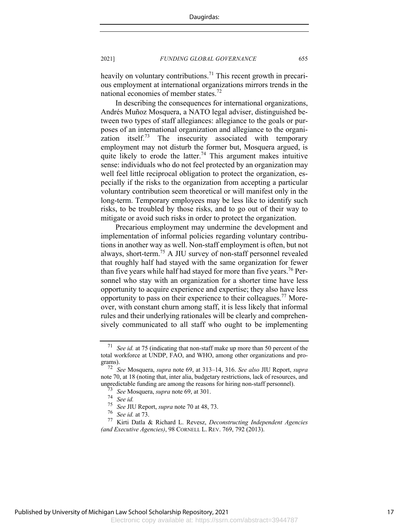heavily on voluntary contributions.<sup>71</sup> This recent growth in precarious employment at international organizations mirrors trends in the national economies of member states.<sup>72</sup>

In describing the consequences for international organizations, Andrés Muñoz Mosquera, a NATO legal adviser, distinguished between two types of staff allegiances: allegiance to the goals or purposes of an international organization and allegiance to the organization itself.<sup>73</sup> The insecurity associated with temporary employment may not disturb the former but, Mosquera argued, is quite likely to erode the latter.<sup>74</sup> This argument makes intuitive sense: individuals who do not feel protected by an organization may well feel little reciprocal obligation to protect the organization, especially if the risks to the organization from accepting a particular voluntary contribution seem theoretical or will manifest only in the long-term. Temporary employees may be less like to identify such risks, to be troubled by those risks, and to go out of their way to mitigate or avoid such risks in order to protect the organization.

Precarious employment may undermine the development and implementation of informal policies regarding voluntary contributions in another way as well. Non-staff employment is often, but not always, short-term.75 A JIU survey of non-staff personnel revealed that roughly half had stayed with the same organization for fewer than five years while half had stayed for more than five years.<sup>76</sup> Personnel who stay with an organization for a shorter time have less opportunity to acquire experience and expertise; they also have less opportunity to pass on their experience to their colleagues.<sup>77</sup> Moreover, with constant churn among staff, it is less likely that informal rules and their underlying rationales will be clearly and comprehensively communicated to all staff who ought to be implementing

<sup>71</sup> *See id.* at 75 (indicating that non-staff make up more than 50 percent of the total workforce at UNDP, FAO, and WHO, among other organizations and programs).

<sup>72</sup> *See* Mosquera, *supra* note 69, at 313–14, 316. *See also* JIU Report, *supra* note 70, at 18 (noting that, inter alia, budgetary restrictions, lack of resources, and unpredictable funding are among the reasons for hiring non-staff personnel).

<sup>73</sup> *See* Mosquera, *supra* note 69, at 301.

 $\frac{74}{75}$  *See id.*<br> $\frac{75}{8}$  See III

<sup>75</sup> *See* JIU Report, *supra* note 70 at 48, 73.

<sup>&</sup>lt;sup>76</sup> *See id.* at 73.<br><sup>77</sup> Kirti Datla *A* 

<sup>77</sup> Kirti Datla & Richard L. Revesz, *Deconstructing Independent Agencies (and Executive Agencies)*, 98 CORNELL L. REV. 769, 792 (2013).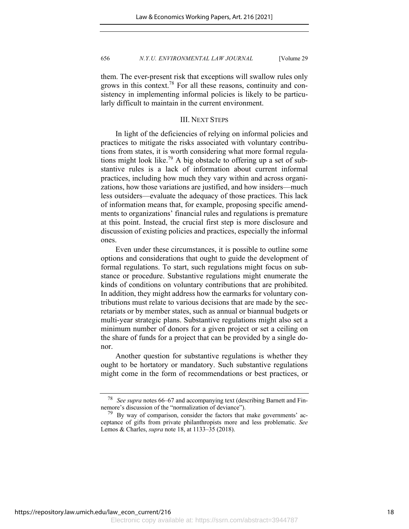them. The ever-present risk that exceptions will swallow rules only grows in this context.<sup>78</sup> For all these reasons, continuity and consistency in implementing informal policies is likely to be particularly difficult to maintain in the current environment.

#### III. NEXT STEPS

In light of the deficiencies of relying on informal policies and practices to mitigate the risks associated with voluntary contributions from states, it is worth considering what more formal regulations might look like.<sup>79</sup> A big obstacle to offering up a set of substantive rules is a lack of information about current informal practices, including how much they vary within and across organizations, how those variations are justified, and how insiders—much less outsiders—evaluate the adequacy of those practices. This lack of information means that, for example, proposing specific amendments to organizations' financial rules and regulations is premature at this point. Instead, the crucial first step is more disclosure and discussion of existing policies and practices, especially the informal ones.

Even under these circumstances, it is possible to outline some options and considerations that ought to guide the development of formal regulations. To start, such regulations might focus on substance or procedure. Substantive regulations might enumerate the kinds of conditions on voluntary contributions that are prohibited. In addition, they might address how the earmarks for voluntary contributions must relate to various decisions that are made by the secretariats or by member states, such as annual or biannual budgets or multi-year strategic plans. Substantive regulations might also set a minimum number of donors for a given project or set a ceiling on the share of funds for a project that can be provided by a single donor.

Another question for substantive regulations is whether they ought to be hortatory or mandatory. Such substantive regulations might come in the form of recommendations or best practices, or

<sup>78</sup> *See supra* notes 66–67 and accompanying text (describing Barnett and Finnemore's discussion of the "normalization of deviance").

 $79$  By way of comparison, consider the factors that make governments' acceptance of gifts from private philanthropists more and less problematic. *See* Lemos & Charles, *supra* note 18, at 1133–35 (2018).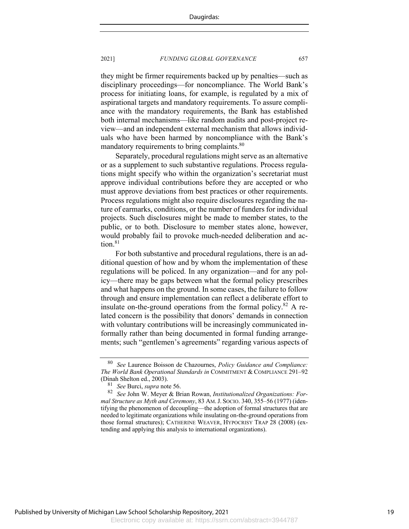they might be firmer requirements backed up by penalties—such as disciplinary proceedings—for noncompliance. The World Bank's process for initiating loans, for example, is regulated by a mix of aspirational targets and mandatory requirements. To assure compliance with the mandatory requirements, the Bank has established both internal mechanisms—like random audits and post-project review—and an independent external mechanism that allows individuals who have been harmed by noncompliance with the Bank's mandatory requirements to bring complaints.<sup>80</sup>

Separately, procedural regulations might serve as an alternative or as a supplement to such substantive regulations. Process regulations might specify who within the organization's secretariat must approve individual contributions before they are accepted or who must approve deviations from best practices or other requirements. Process regulations might also require disclosures regarding the nature of earmarks, conditions, or the number of funders for individual projects. Such disclosures might be made to member states, to the public, or to both. Disclosure to member states alone, however, would probably fail to provoke much-needed deliberation and action. $81$ 

For both substantive and procedural regulations, there is an additional question of how and by whom the implementation of these regulations will be policed. In any organization—and for any policy—there may be gaps between what the formal policy prescribes and what happens on the ground. In some cases, the failure to follow through and ensure implementation can reflect a deliberate effort to insulate on-the-ground operations from the formal policy. $82$  A related concern is the possibility that donors' demands in connection with voluntary contributions will be increasingly communicated informally rather than being documented in formal funding arrangements; such "gentlemen's agreements" regarding various aspects of

Electronic copy available at: https://ssrn.com/abstract=3944787 Published by University of Michigan Law School Scholarship Repository, 2021

<sup>80</sup> *See* Laurence Boisson de Chazournes, *Policy Guidance and Compliance: The World Bank Operational Standards in* COMMITMENT & COMPLIANCE 291–92 (Dinah Shelton ed., 2003).

<sup>81</sup> *See* Burci, *supra* note 56. <sup>82</sup> *See* John W. Meyer & Brian Rowan, *Institutionalized Organizations: Formal Structure as Myth and Ceremony*, 83 AM.J. SOCIO. 340, 355–56 (1977) (identifying the phenomenon of decoupling—the adoption of formal structures that are needed to legitimate organizations while insulating on-the-ground operations from those formal structures); CATHERINE WEAVER, HYPOCRISY TRAP 28 (2008) (extending and applying this analysis to international organizations).